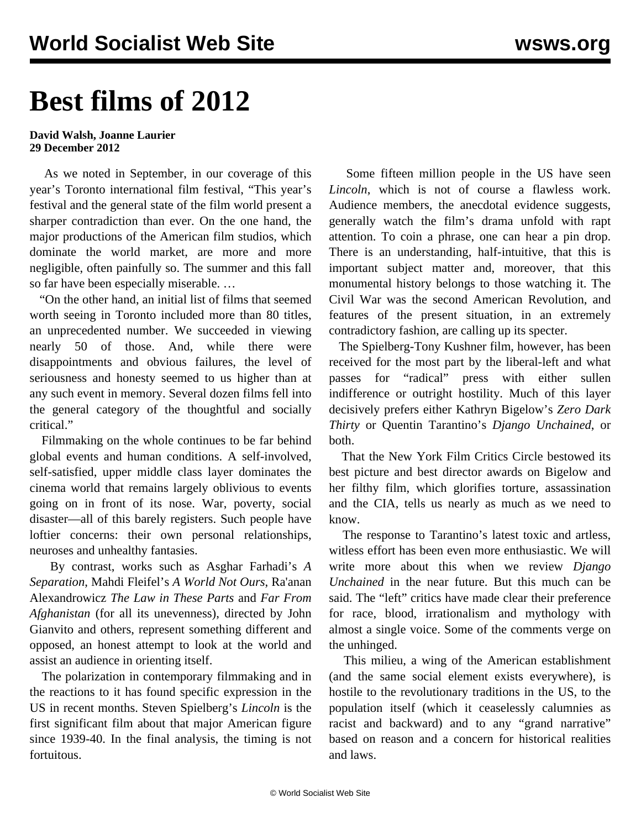# **Best films of 2012**

#### **David Walsh, Joanne Laurier 29 December 2012**

 As we noted in September, in our coverage of this year's Toronto international film festival, "This year's festival and the general state of the film world present a sharper contradiction than ever. On the one hand, the major productions of the American film studios, which dominate the world market, are more and more negligible, often painfully so. The summer and this fall so far have been especially miserable. …

 "On the other hand, an initial list of films that seemed worth seeing in Toronto included more than 80 titles, an unprecedented number. We succeeded in viewing nearly 50 of those. And, while there were disappointments and obvious failures, the level of seriousness and honesty seemed to us higher than at any such event in memory. Several dozen films fell into the general category of the thoughtful and socially critical."

 Filmmaking on the whole continues to be far behind global events and human conditions. A self-involved, self-satisfied, upper middle class layer dominates the cinema world that remains largely oblivious to events going on in front of its nose. War, poverty, social disaster—all of this barely registers. Such people have loftier concerns: their own personal relationships, neuroses and unhealthy fantasies.

 By contrast, works such as Asghar Farhadi's *A Separation*, Mahdi Fleifel's *A World Not Ours*, Ra'anan Alexandrowicz *The Law in These Parts* and *Far From Afghanistan* (for all its unevenness), directed by John Gianvito and others, represent something different and opposed, an honest attempt to look at the world and assist an audience in orienting itself.

 The polarization in contemporary filmmaking and in the reactions to it has found specific expression in the US in recent months. Steven Spielberg's *Lincoln* is the first significant film about that major American figure since 1939-40. In the final analysis, the timing is not fortuitous.

 Some fifteen million people in the US have seen *Lincoln*, which is not of course a flawless work. Audience members, the anecdotal evidence suggests, generally watch the film's drama unfold with rapt attention. To coin a phrase, one can hear a pin drop. There is an understanding, half-intuitive, that this is important subject matter and, moreover, that this monumental history belongs to those watching it. The Civil War was the second American Revolution, and features of the present situation, in an extremely contradictory fashion, are calling up its specter.

 The Spielberg-Tony Kushner film, however, has been received for the most part by the liberal-left and what passes for "radical" press with either sullen indifference or outright hostility. Much of this layer decisively prefers either Kathryn Bigelow's *Zero Dark Thirty* or Quentin Tarantino's *Django Unchained*, or both.

 That the New York Film Critics Circle bestowed its best picture and best director awards on Bigelow and her filthy film, which glorifies torture, assassination and the CIA, tells us nearly as much as we need to know.

 The response to Tarantino's latest toxic and artless, witless effort has been even more enthusiastic. We will write more about this when we review *Django Unchained* in the near future. But this much can be said. The "left" critics have made clear their preference for race, blood, irrationalism and mythology with almost a single voice. Some of the comments verge on the unhinged.

 This milieu, a wing of the American establishment (and the same social element exists everywhere), is hostile to the revolutionary traditions in the US, to the population itself (which it ceaselessly calumnies as racist and backward) and to any "grand narrative" based on reason and a concern for historical realities and laws.